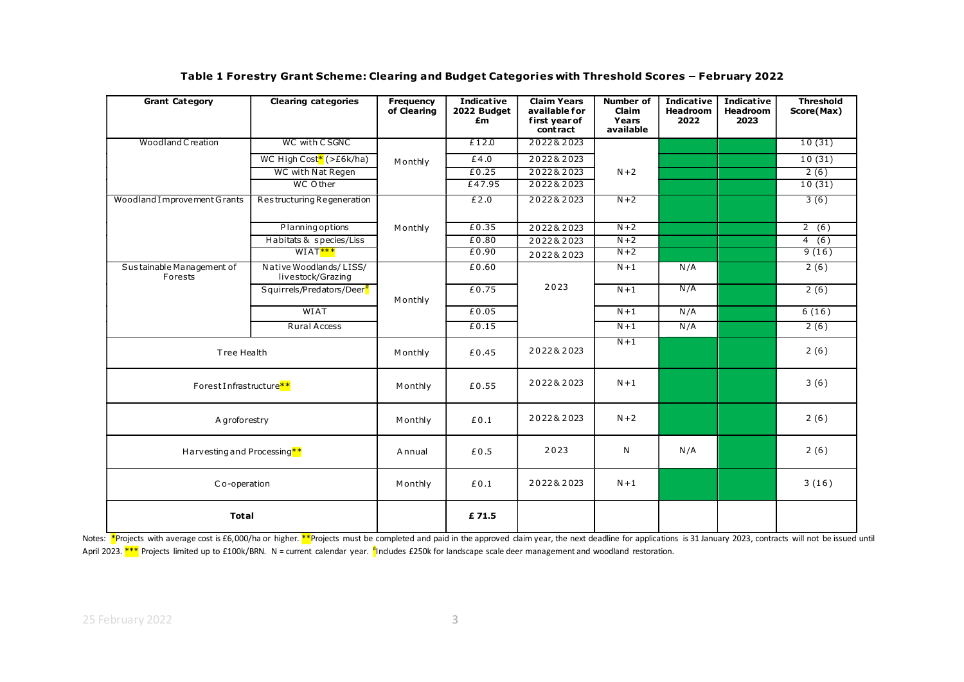|                              | Table 1 Forestry Grant Scheme: Clearing and Budget Categories with Threshold Scores - February 2022 |                  |               |                                  |                    |                   |                   |                  |
|------------------------------|-----------------------------------------------------------------------------------------------------|------------------|---------------|----------------------------------|--------------------|-------------------|-------------------|------------------|
| <b>Grant Category</b>        | <b>Clearing categories</b>                                                                          | <b>Frequency</b> | Indicative    | <b>Claim Years</b>               | <b>Number of</b>   | <b>Indicative</b> | <b>Indicative</b> | <b>Threshold</b> |
|                              |                                                                                                     | of Clearing      | 2022 Budget   | available for                    | Claim              | Headroom          | Headroom          | Score(Max)       |
|                              |                                                                                                     |                  | £m            | first year of<br><b>contract</b> | Years<br>available | 2022              | 2023              |                  |
| Woodland C reation           | WC with CSGNC                                                                                       |                  | £12.0         | 2022&2023                        |                    |                   |                   | 10(31)           |
|                              | WC High Cost <sup>*</sup> (>£6k/ha)                                                                 |                  | £4.0          | 2022&2023                        |                    |                   |                   | 10(31)           |
|                              | WC with Nat Regen                                                                                   | Monthly          | £0.25         | 2022&2023                        | $N+2$              |                   |                   | 2(6)             |
|                              | WC Other                                                                                            |                  | £47.95        | 2022&2023                        |                    |                   |                   | 10(31)           |
| Woodland I mprovement Grants | Restructuring Regeneration                                                                          |                  | £2.0          | 2022&2023                        | $N+2$              |                   |                   | 3(6)             |
|                              |                                                                                                     |                  |               |                                  |                    |                   |                   |                  |
|                              | Planning options                                                                                    | Monthly          | £0.35         | 2022&2023                        | $N+2$              |                   |                   | 2(6)             |
|                              | Habitats & species/Liss                                                                             |                  | £0.80         | 2022&2023                        | $N+2$              |                   |                   | 4(6)             |
|                              | WIAT <sup>***</sup>                                                                                 |                  | £0.90         | 2022&2023                        | $N+2$              |                   |                   | 9(16)            |
| Sustainable Management of    | Native Woodlands/LISS/                                                                              |                  | £0.60         |                                  | $N+1$              | N/A               |                   | 2(6)             |
| Forests                      | livestock/Grazing                                                                                   |                  |               |                                  |                    |                   |                   |                  |
|                              | Squirrels/Predators/Deer <sup>#</sup>                                                               |                  | £0.75         | 2023                             | $N+1$              | N/A               |                   | 2(6)             |
|                              | <b>WIAT</b>                                                                                         | Monthly          | £0.05         |                                  | $N+1$              | N/A               |                   | 6(16)            |
|                              | <b>Rural Access</b>                                                                                 |                  | £0.15         |                                  | $N+1$              | N/A               |                   | 2(6)             |
|                              |                                                                                                     |                  |               |                                  |                    |                   |                   |                  |
|                              |                                                                                                     | Monthly          | £0.45         | 2022&2023                        | $N+1$              |                   |                   | 2(6)             |
|                              |                                                                                                     |                  |               |                                  |                    |                   |                   |                  |
| Tree Health                  |                                                                                                     |                  |               |                                  |                    |                   |                   |                  |
|                              |                                                                                                     |                  | £0.55         | 2022&2023                        | $N+1$              |                   |                   | 3(6)             |
| Forest Infrastructure**      |                                                                                                     | Monthly          |               |                                  |                    |                   |                   |                  |
|                              |                                                                                                     |                  |               |                                  | $N+2$              |                   |                   | 2(6)             |
|                              |                                                                                                     |                  |               |                                  |                    |                   |                   |                  |
| A groforestry                |                                                                                                     | Monthly          | $\pounds 0.1$ | 2022&2023                        |                    |                   |                   |                  |
|                              |                                                                                                     |                  |               |                                  |                    |                   |                   |                  |
| Harvesting and Processing**  |                                                                                                     | <b>Annual</b>    | £0.5          | 2023                             | N                  | N/A               |                   | 2(6)             |
|                              |                                                                                                     |                  |               |                                  |                    |                   |                   |                  |
|                              |                                                                                                     |                  |               |                                  | $N+1$              |                   |                   |                  |
| Co-operation                 |                                                                                                     | Monthly          | £0.1          | 2022&2023                        |                    |                   |                   | 3(16)            |
| <b>Total</b>                 |                                                                                                     |                  | £71.5         |                                  |                    |                   |                   |                  |

Notes: \*Projects with average cost is £6,000/ha or higher. \*\*Projects must be completed and paid in the approved claim year, the next deadline for applications is 31 January 2023, contracts will not be issued until April 2023. \*\*\* Projects limited up to £100k/BRN. N = current calendar year. <sup>#</sup>Includes £250k for landscape scale deer management and woodland restoration.